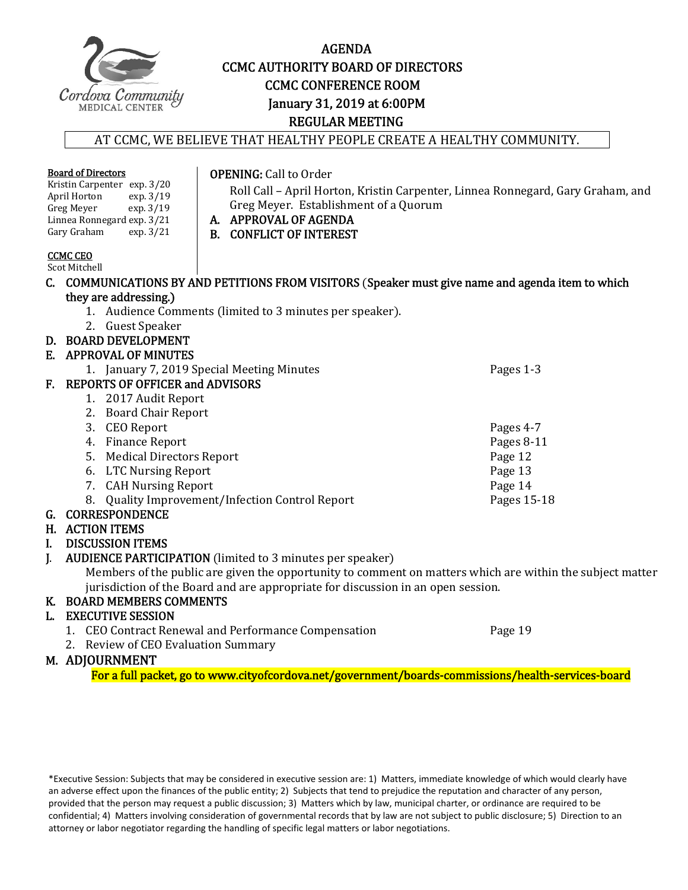

# AGENDA **CCMC AUTHORITY BOARD OF DIRECTORS CCMC CONFERENCE ROOM** January 31, 2019 at 6:00PM REGULAR MEETING

#### AT CCMC, WE BELIEVE THAT HEALTHY PEOPLE CREATE A HEALTHY COMMUNITY.

|                | <b>Board of Directors</b><br>Kristin Carpenter exp. 3/20<br>April Horton<br>exp. 3/19<br>Greg Meyer<br>exp. 3/19<br>Linnea Ronnegard exp. 3/21<br>Gary Graham<br>exp.3/21 | <b>OPENING: Call to Order</b><br>Greg Meyer. Establishment of a Quorum<br>A. APPROVAL OF AGENDA<br><b>B. CONFLICT OF INTEREST</b> | Roll Call - April Horton, Kristin Carpenter, Linnea Ronnegard, Gary Graham, and                           |
|----------------|---------------------------------------------------------------------------------------------------------------------------------------------------------------------------|-----------------------------------------------------------------------------------------------------------------------------------|-----------------------------------------------------------------------------------------------------------|
|                | <b>CCMC CEO</b><br>Scot Mitchell                                                                                                                                          |                                                                                                                                   |                                                                                                           |
|                |                                                                                                                                                                           |                                                                                                                                   | C. COMMUNICATIONS BY AND PETITIONS FROM VISITORS (Speaker must give name and agenda item to which         |
|                | they are addressing.)                                                                                                                                                     |                                                                                                                                   |                                                                                                           |
|                |                                                                                                                                                                           | 1. Audience Comments (limited to 3 minutes per speaker).                                                                          |                                                                                                           |
|                | 2. Guest Speaker                                                                                                                                                          |                                                                                                                                   |                                                                                                           |
|                | D. BOARD DEVELOPMENT                                                                                                                                                      |                                                                                                                                   |                                                                                                           |
|                | E. APPROVAL OF MINUTES                                                                                                                                                    |                                                                                                                                   |                                                                                                           |
|                |                                                                                                                                                                           | 1. January 7, 2019 Special Meeting Minutes                                                                                        | Pages 1-3                                                                                                 |
| F.             | <b>REPORTS OF OFFICER and ADVISORS</b>                                                                                                                                    |                                                                                                                                   |                                                                                                           |
|                | 1. 2017 Audit Report                                                                                                                                                      |                                                                                                                                   |                                                                                                           |
|                | 2. Board Chair Report                                                                                                                                                     |                                                                                                                                   |                                                                                                           |
|                | 3. CEO Report                                                                                                                                                             |                                                                                                                                   | Pages 4-7                                                                                                 |
|                | 4. Finance Report                                                                                                                                                         |                                                                                                                                   | Pages 8-11                                                                                                |
|                | 5. Medical Directors Report                                                                                                                                               |                                                                                                                                   | Page 12                                                                                                   |
|                | 6. LTC Nursing Report                                                                                                                                                     |                                                                                                                                   | Page 13                                                                                                   |
|                | <b>CAH Nursing Report</b><br>7.                                                                                                                                           |                                                                                                                                   | Page 14                                                                                                   |
|                | 8.                                                                                                                                                                        | Quality Improvement/Infection Control Report                                                                                      | Pages 15-18                                                                                               |
|                | G. CORRESPONDENCE                                                                                                                                                         |                                                                                                                                   |                                                                                                           |
|                | <b>H. ACTION ITEMS</b>                                                                                                                                                    |                                                                                                                                   |                                                                                                           |
| I.             | <b>DISCUSSION ITEMS</b>                                                                                                                                                   |                                                                                                                                   |                                                                                                           |
| $\mathbf{I}$ . |                                                                                                                                                                           | <b>AUDIENCE PARTICIPATION</b> (limited to 3 minutes per speaker)                                                                  | Members of the public are given the opportunity to comment on matters which are within the subject matter |
|                |                                                                                                                                                                           | jurisdiction of the Board and are appropriate for discussion in an open session.                                                  |                                                                                                           |
| К.             | <b>BOARD MEMBERS COMMENTS</b>                                                                                                                                             |                                                                                                                                   |                                                                                                           |
| L.             | <b>EXECUTIVE SESSION</b>                                                                                                                                                  |                                                                                                                                   |                                                                                                           |
|                |                                                                                                                                                                           | 1. CEO Contract Renewal and Performance Compensation                                                                              | Page 19                                                                                                   |
|                | Daview of CEO Evaluation Cummany                                                                                                                                          |                                                                                                                                   |                                                                                                           |

2. Review of CEO Evaluation Summary

#### M. ADJOURNMENT

For a full packet, go to www.cityofcordova.net/government/boards-commissions/health-services-board

\*Executive Session: Subjects that may be considered in executive session are: 1) Matters, immediate knowledge of which would clearly have an adverse effect upon the finances of the public entity; 2) Subjects that tend to prejudice the reputation and character of any person, provided that the person may request a public discussion; 3) Matters which by law, municipal charter, or ordinance are required to be confidential; 4) Matters involving consideration of governmental records that by law are not subject to public disclosure; 5) Direction to an attorney or labor negotiator regarding the handling of specific legal matters or labor negotiations.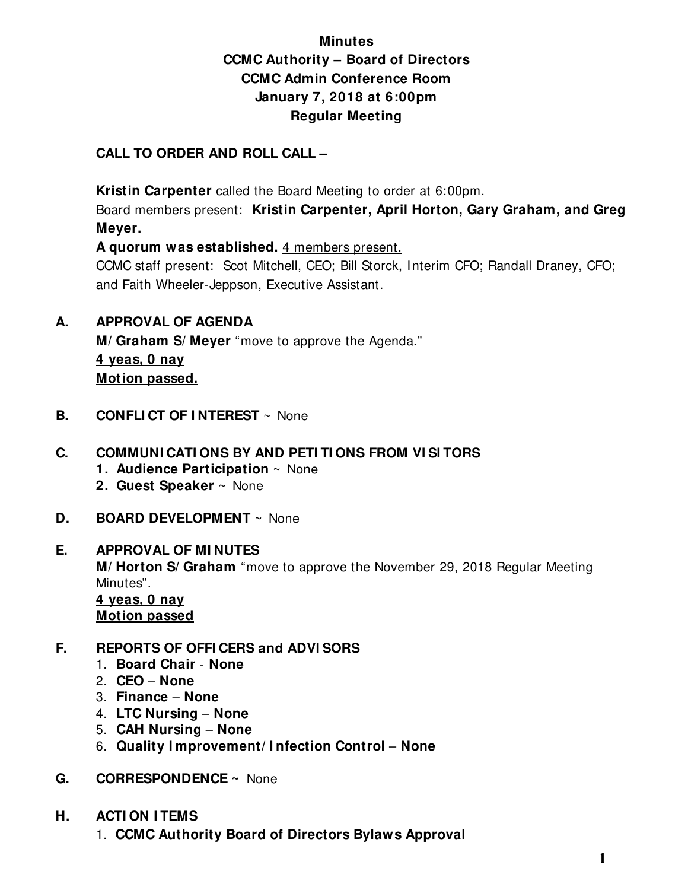# **Minutes CCMC Authority – Board of Directors CCMC Admin Conference Room January 7, 2018 at 6:00pm Regular Meeting**

# **CALL TO ORDER AND ROLL CALL –**

 **Kristin Carpenter** called the Board Meeting to order at 6:00pm.

Board members present: **Kristin Carpenter, April Horton, Gary Graham, and Greg Meyer.** 

**A quorum was established.** 4 members present.

CCMC staff present: Scot Mitchell, CEO; Bill Storck, Interim CFO; Randall Draney, CFO; and Faith Wheeler-Jeppson, Executive Assistant.

**A. APPROVAL OF AGENDA** 

 **M/ Graham S/ Meyer** "move to approve the Agenda." **4 yeas, 0 nay Motion passed.** 

**B. CONFLICT OF INTEREST** ~ None

# **C. COMMUNI CATI ONS BY AND PETI TI ONS FROM VI SI TORS**

- **1. Audience Participation** ~ None
- **2. Guest Speaker** ~ None
- **D. BOARD DEVELOPMENT** ~ None

# **E. APPROVAL OF MI NUTES**

**M/ Horton S/ Graham** "move to approve the November 29, 2018 Regular Meeting Minutes".

 **4 yeas, 0 nay Motion passed**

# **F. REPORTS OF OFFI CERS and ADVI SORS**

- 1. **Board Chair None**
- 2. **CEO None**
- 3. **Finance None**
- 4. **LTC Nursing None**
- 5. **CAH Nursing None**
- 6. **Quality I mprovement/ I nfection Control None**
- **G. CORRESPONDENCE ~** None
- **H. ACTI ON I TEMS** 
	- 1. **CCMC Authority Board of Directors Bylaws Approval**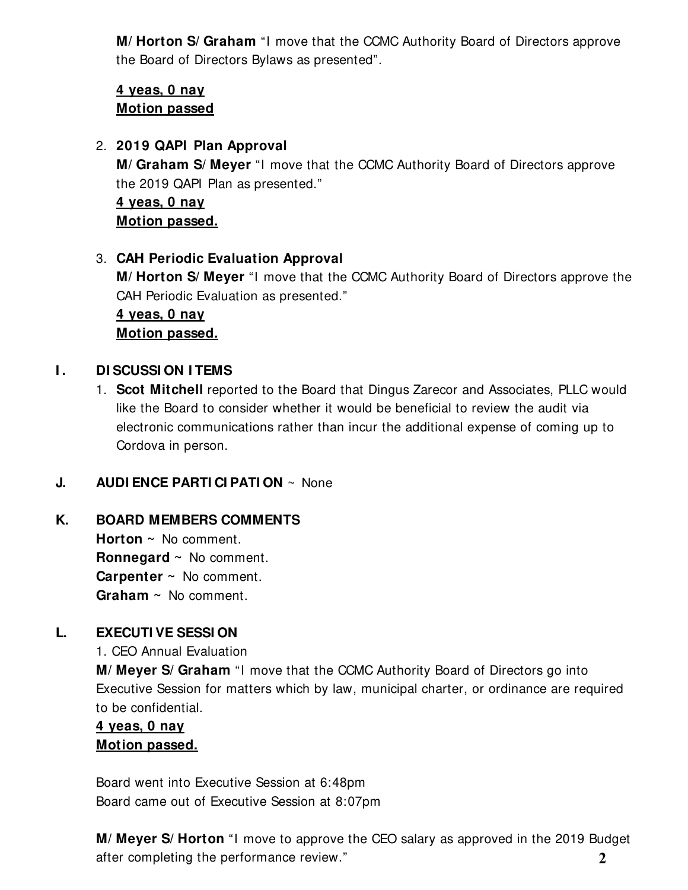**M/ Horton S/ Graham** "I move that the CCMC Authority Board of Directors approve the Board of Directors Bylaws as presented".

# **4 yeas, 0 nay Motion passed**

2. **2019 QAPI Plan Approval** 

**M/ Graham S/ Meyer** "I move that the CCMC Authority Board of Directors approve the 2019 QAPI Plan as presented."

**4 yeas, 0 nay Motion passed.** 

3. **CAH Periodic Evaluation Approval M/ Horton S/ Meyer** "I move that the CCMC Authority Board of Directors approve the CAH Periodic Evaluation as presented." **4 yeas, 0 nay** 

**Motion passed.** 

# **I.** DI SCUSSI ON ITEMS

1. **Scot Mitchell** reported to the Board that Dingus Zarecor and Associates, PLLC would like the Board to consider whether it would be beneficial to review the audit via electronic communications rather than incur the additional expense of coming up to Cordova in person.

#### **J. AUDI ENCE PARTI CI PATI ON** ~ None

#### **K. BOARD MEMBERS COMMENTS**

**Horton ~** No comment. **Ronnegard ~** No comment. **Carpenter ~** No comment. **Graham ~** No comment.

# **L. EXECUTI VE SESSI ON**

1. CEO Annual Evaluation

**M/ Meyer S/ Graham** "I move that the CCMC Authority Board of Directors go into Executive Session for matters which by law, municipal charter, or ordinance are required to be confidential.

# **4 yeas, 0 nay Motion passed.**

Board went into Executive Session at 6:48pm Board came out of Executive Session at 8:07pm

**M/ Meyer S/ Horton** "I move to approve the CEO salary as approved in the 2019 Budget after completing the performance review." **2**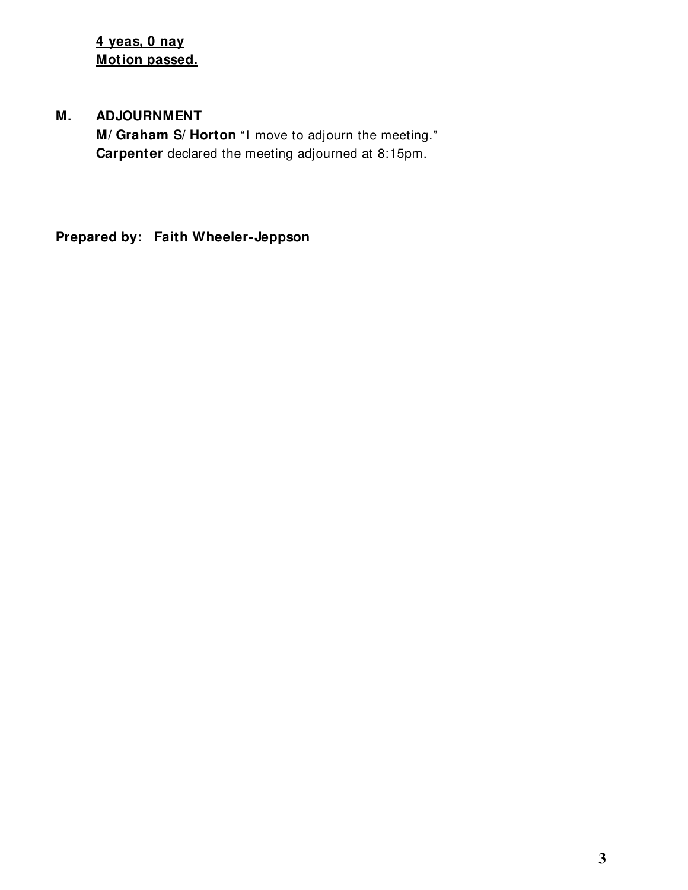**4 yeas, 0 nay Motion passed.** 

# **M. ADJOURNMENT**

**M/ Graham S/ Horton** "I move to adjourn the meeting." **Carpenter** declared the meeting adjourned at 8:15pm.

**Prepared by: Faith Wheeler-Jeppson**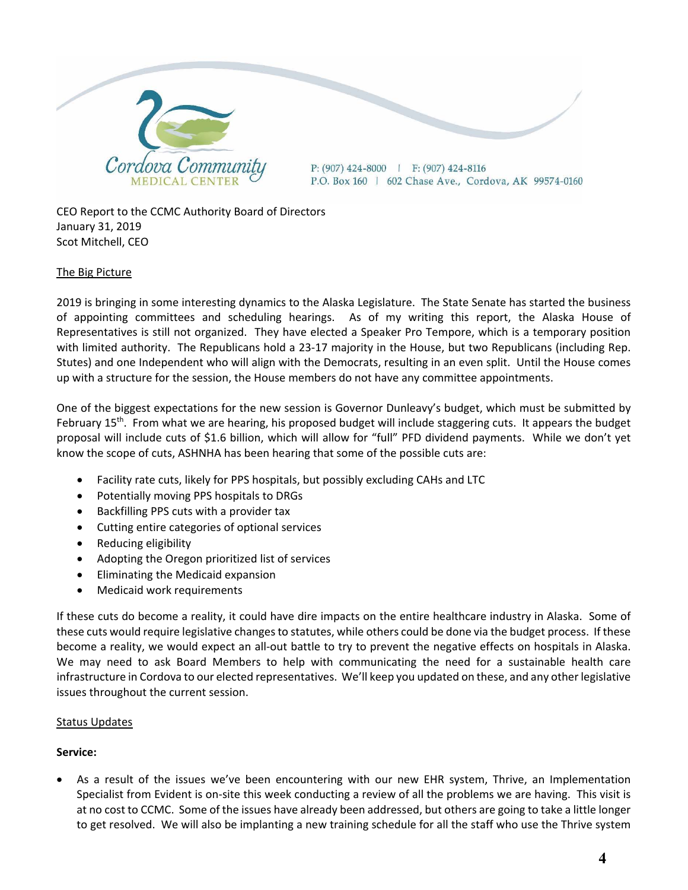

CEO Report to the CCMC Authority Board of Directors January 31, 2019 Scot Mitchell, CEO

#### The Big Picture

2019 is bringing in some interesting dynamics to the Alaska Legislature. The State Senate has started the business of appointing committees and scheduling hearings. As of my writing this report, the Alaska House of Representatives is still not organized. They have elected a Speaker Pro Tempore, which is a temporary position with limited authority. The Republicans hold a 23-17 majority in the House, but two Republicans (including Rep. Stutes) and one Independent who will align with the Democrats, resulting in an even split. Until the House comes up with a structure for the session, the House members do not have any committee appointments.

One of the biggest expectations for the new session is Governor Dunleavy's budget, which must be submitted by February 15<sup>th</sup>. From what we are hearing, his proposed budget will include staggering cuts. It appears the budget proposal will include cuts of \$1.6 billion, which will allow for "full" PFD dividend payments. While we don't yet know the scope of cuts, ASHNHA has been hearing that some of the possible cuts are:

- Facility rate cuts, likely for PPS hospitals, but possibly excluding CAHs and LTC
- Potentially moving PPS hospitals to DRGs
- Backfilling PPS cuts with a provider tax
- Cutting entire categories of optional services
- Reducing eligibility
- Adopting the Oregon prioritized list of services
- **•** Eliminating the Medicaid expansion
- Medicaid work requirements

If these cuts do become a reality, it could have dire impacts on the entire healthcare industry in Alaska. Some of these cuts would require legislative changes to statutes, while others could be done via the budget process. If these become a reality, we would expect an all-out battle to try to prevent the negative effects on hospitals in Alaska. We may need to ask Board Members to help with communicating the need for a sustainable health care infrastructure in Cordova to our elected representatives. We'll keep you updated on these, and any other legislative issues throughout the current session.

#### Status Updates

#### **Service:**

 As a result of the issues we've been encountering with our new EHR system, Thrive, an Implementation Specialist from Evident is on‐site this week conducting a review of all the problems we are having. This visit is at no cost to CCMC. Some of the issues have already been addressed, but others are going to take a little longer to get resolved. We will also be implanting a new training schedule for all the staff who use the Thrive system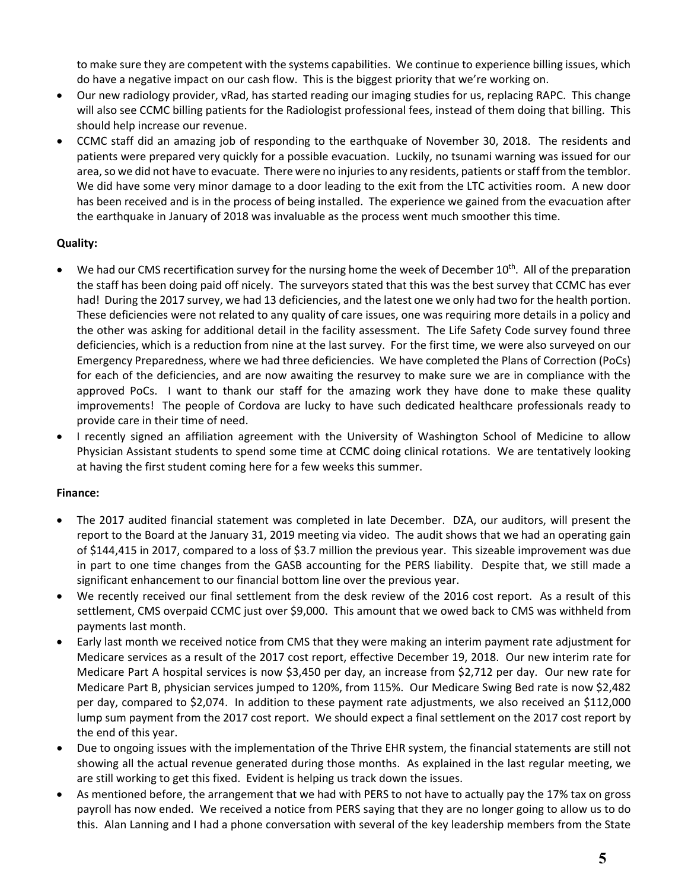to make sure they are competent with the systems capabilities. We continue to experience billing issues, which do have a negative impact on our cash flow. This is the biggest priority that we're working on.

- Our new radiology provider, vRad, has started reading our imaging studies for us, replacing RAPC. This change will also see CCMC billing patients for the Radiologist professional fees, instead of them doing that billing. This should help increase our revenue.
- CCMC staff did an amazing job of responding to the earthquake of November 30, 2018. The residents and patients were prepared very quickly for a possible evacuation. Luckily, no tsunami warning was issued for our area, so we did not have to evacuate. There were no injuries to any residents, patients or staff from the temblor. We did have some very minor damage to a door leading to the exit from the LTC activities room. A new door has been received and is in the process of being installed. The experience we gained from the evacuation after the earthquake in January of 2018 was invaluable as the process went much smoother this time.

#### **Quality:**

- We had our CMS recertification survey for the nursing home the week of December 10<sup>th</sup>. All of the preparation the staff has been doing paid off nicely. The surveyors stated that this was the best survey that CCMC has ever had! During the 2017 survey, we had 13 deficiencies, and the latest one we only had two for the health portion. These deficiencies were not related to any quality of care issues, one was requiring more details in a policy and the other was asking for additional detail in the facility assessment. The Life Safety Code survey found three deficiencies, which is a reduction from nine at the last survey. For the first time, we were also surveyed on our Emergency Preparedness, where we had three deficiencies. We have completed the Plans of Correction (PoCs) for each of the deficiencies, and are now awaiting the resurvey to make sure we are in compliance with the approved PoCs. I want to thank our staff for the amazing work they have done to make these quality improvements! The people of Cordova are lucky to have such dedicated healthcare professionals ready to provide care in their time of need.
- I recently signed an affiliation agreement with the University of Washington School of Medicine to allow Physician Assistant students to spend some time at CCMC doing clinical rotations. We are tentatively looking at having the first student coming here for a few weeks this summer.

#### **Finance:**

- The 2017 audited financial statement was completed in late December. DZA, our auditors, will present the report to the Board at the January 31, 2019 meeting via video. The audit shows that we had an operating gain of \$144,415 in 2017, compared to a loss of \$3.7 million the previous year. This sizeable improvement was due in part to one time changes from the GASB accounting for the PERS liability. Despite that, we still made a significant enhancement to our financial bottom line over the previous year.
- We recently received our final settlement from the desk review of the 2016 cost report. As a result of this settlement, CMS overpaid CCMC just over \$9,000. This amount that we owed back to CMS was withheld from payments last month.
- Early last month we received notice from CMS that they were making an interim payment rate adjustment for Medicare services as a result of the 2017 cost report, effective December 19, 2018. Our new interim rate for Medicare Part A hospital services is now \$3,450 per day, an increase from \$2,712 per day. Our new rate for Medicare Part B, physician services jumped to 120%, from 115%. Our Medicare Swing Bed rate is now \$2,482 per day, compared to \$2,074. In addition to these payment rate adjustments, we also received an \$112,000 lump sum payment from the 2017 cost report. We should expect a final settlement on the 2017 cost report by the end of this year.
- Due to ongoing issues with the implementation of the Thrive EHR system, the financial statements are still not showing all the actual revenue generated during those months. As explained in the last regular meeting, we are still working to get this fixed. Evident is helping us track down the issues.
- As mentioned before, the arrangement that we had with PERS to not have to actually pay the 17% tax on gross payroll has now ended. We received a notice from PERS saying that they are no longer going to allow us to do this. Alan Lanning and I had a phone conversation with several of the key leadership members from the State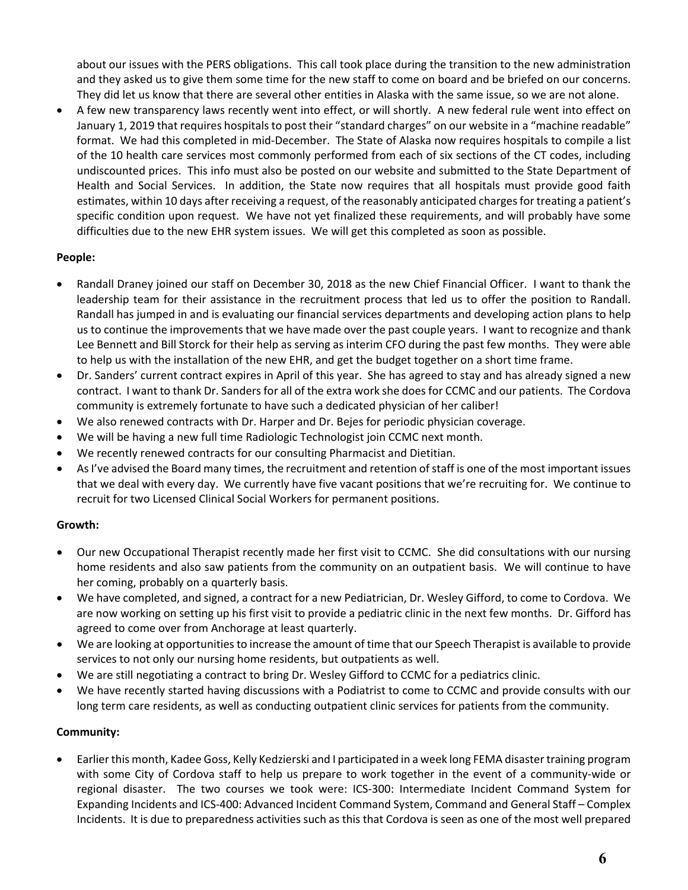about our issues with the PERS obligations. This call took place during the transition to the new administration and they asked us to give them some time for the new staff to come on board and be briefed on our concerns. They did let us know that there are several other entities in Alaska with the same issue, so we are not alone.

 A few new transparency laws recently went into effect, or will shortly. A new federal rule went into effect on January 1, 2019 that requires hospitals to post their "standard charges" on our website in a "machine readable" format. We had this completed in mid-December. The State of Alaska now requires hospitals to compile a list of the 10 health care services most commonly performed from each of six sections of the CT codes, including undiscounted prices. This info must also be posted on our website and submitted to the State Department of Health and Social Services. In addition, the State now requires that all hospitals must provide good faith estimates, within 10 days after receiving a request, of the reasonably anticipated charges for treating a patient's specific condition upon request. We have not yet finalized these requirements, and will probably have some difficulties due to the new EHR system issues. We will get this completed as soon as possible.

#### **People:**

- Randall Draney joined our staff on December 30, 2018 as the new Chief Financial Officer. I want to thank the leadership team for their assistance in the recruitment process that led us to offer the position to Randall. Randall has jumped in and is evaluating our financial services departments and developing action plans to help us to continue the improvements that we have made over the past couple years. I want to recognize and thank Lee Bennett and Bill Storck for their help as serving as interim CFO during the past few months. They were able to help us with the installation of the new EHR, and get the budget together on a short time frame.
- Dr. Sanders' current contract expires in April of this year. She has agreed to stay and has already signed a new contract. I want to thank Dr. Sanders for all of the extra work she does for CCMC and our patients. The Cordova community is extremely fortunate to have such a dedicated physician of her caliber!
- We also renewed contracts with Dr. Harper and Dr. Bejes for periodic physician coverage.
- We will be having a new full time Radiologic Technologist join CCMC next month.
- We recently renewed contracts for our consulting Pharmacist and Dietitian.
- AsI've advised the Board many times, the recruitment and retention ofstaff is one of the most important issues that we deal with every day. We currently have five vacant positions that we're recruiting for. We continue to recruit for two Licensed Clinical Social Workers for permanent positions.

#### **Growth:**

- Our new Occupational Therapist recently made her first visit to CCMC. She did consultations with our nursing home residents and also saw patients from the community on an outpatient basis. We will continue to have her coming, probably on a quarterly basis.
- We have completed, and signed, a contract for a new Pediatrician, Dr. Wesley Gifford, to come to Cordova. We are now working on setting up his first visit to provide a pediatric clinic in the next few months. Dr. Gifford has agreed to come over from Anchorage at least quarterly.
- We are looking at opportunitiesto increase the amount of time that our Speech Therapist is available to provide services to not only our nursing home residents, but outpatients as well.
- We are still negotiating a contract to bring Dr. Wesley Gifford to CCMC for a pediatrics clinic.
- We have recently started having discussions with a Podiatrist to come to CCMC and provide consults with our long term care residents, as well as conducting outpatient clinic services for patients from the community.

#### **Community:**

 Earlier this month, Kadee Goss, Kelly Kedzierski and I participated in a week long FEMA disastertraining program with some City of Cordova staff to help us prepare to work together in the event of a community-wide or regional disaster. The two courses we took were: ICS‐300: Intermediate Incident Command System for Expanding Incidents and ICS‐400: Advanced Incident Command System, Command and General Staff – Complex Incidents. It is due to preparedness activities such as this that Cordova is seen as one of the most well prepared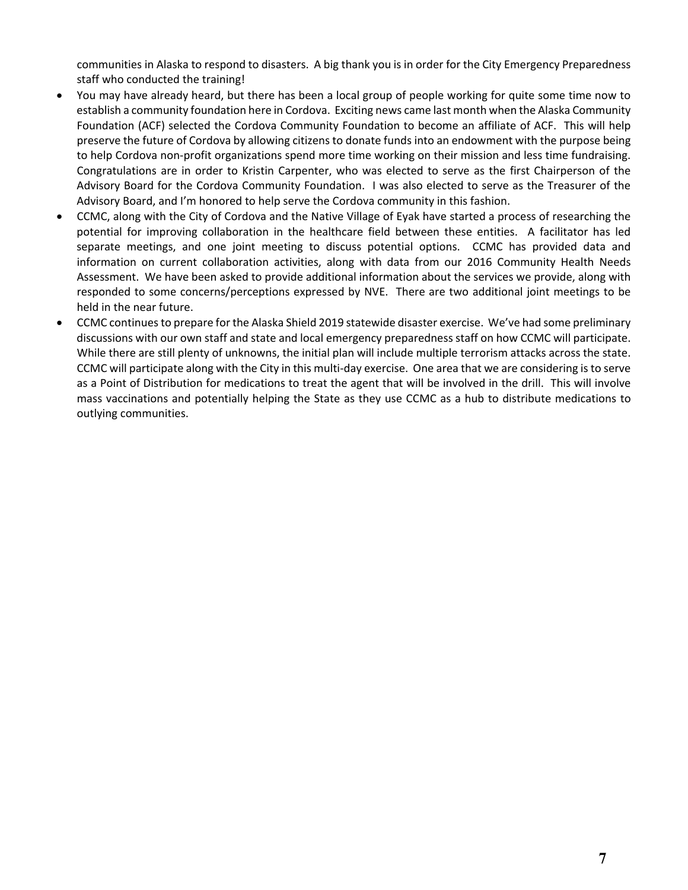communities in Alaska to respond to disasters. A big thank you is in order for the City Emergency Preparedness staff who conducted the training!

- You may have already heard, but there has been a local group of people working for quite some time now to establish a community foundation here in Cordova. Exciting news came last month when the Alaska Community Foundation (ACF) selected the Cordova Community Foundation to become an affiliate of ACF. This will help preserve the future of Cordova by allowing citizens to donate funds into an endowment with the purpose being to help Cordova non-profit organizations spend more time working on their mission and less time fundraising. Congratulations are in order to Kristin Carpenter, who was elected to serve as the first Chairperson of the Advisory Board for the Cordova Community Foundation. I was also elected to serve as the Treasurer of the Advisory Board, and I'm honored to help serve the Cordova community in this fashion.
- CCMC, along with the City of Cordova and the Native Village of Eyak have started a process of researching the potential for improving collaboration in the healthcare field between these entities. A facilitator has led separate meetings, and one joint meeting to discuss potential options. CCMC has provided data and information on current collaboration activities, along with data from our 2016 Community Health Needs Assessment. We have been asked to provide additional information about the services we provide, along with responded to some concerns/perceptions expressed by NVE. There are two additional joint meetings to be held in the near future.
- CCMC continuesto prepare for the Alaska Shield 2019 statewide disaster exercise. We've had some preliminary discussions with our own staff and state and local emergency preparedness staff on how CCMC will participate. While there are still plenty of unknowns, the initial plan will include multiple terrorism attacks across the state. CCMC will participate along with the City in this multi‐day exercise. One area that we are considering is to serve as a Point of Distribution for medications to treat the agent that will be involved in the drill. This will involve mass vaccinations and potentially helping the State as they use CCMC as a hub to distribute medications to outlying communities.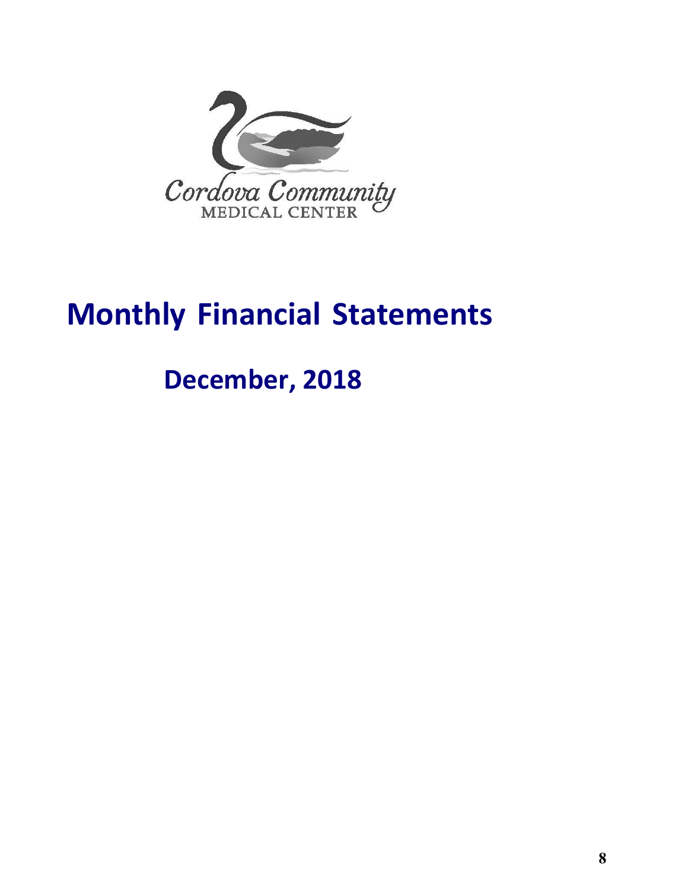

# **Monthly Financial Statements**

# **December, 2018**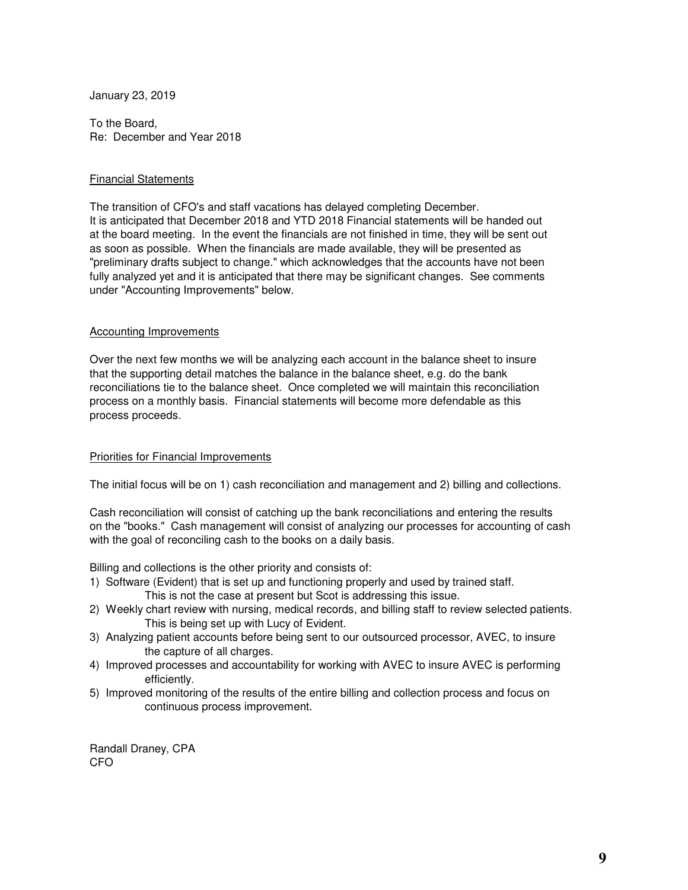January 23, 2019

To the Board, Re: December and Year 2018

#### Financial Statements

The transition of CFO's and staff vacations has delayed completing December. It is anticipated that December 2018 and YTD 2018 Financial statements will be handed out at the board meeting. In the event the financials are not finished in time, they will be sent out as soon as possible. When the financials are made available, they will be presented as "preliminary drafts subject to change." which acknowledges that the accounts have not been fully analyzed yet and it is anticipated that there may be significant changes. See comments under "Accounting Improvements" below.

#### Accounting Improvements

Over the next few months we will be analyzing each account in the balance sheet to insure that the supporting detail matches the balance in the balance sheet, e.g. do the bank reconciliations tie to the balance sheet. Once completed we will maintain this reconciliation process on a monthly basis. Financial statements will become more defendable as this process proceeds.

#### Priorities for Financial Improvements

The initial focus will be on 1) cash reconciliation and management and 2) billing and collections.

Cash reconciliation will consist of catching up the bank reconciliations and entering the results on the "books." Cash management will consist of analyzing our processes for accounting of cash with the goal of reconciling cash to the books on a daily basis.

Billing and collections is the other priority and consists of:

- 1) Software (Evident) that is set up and functioning properly and used by trained staff. This is not the case at present but Scot is addressing this issue.
- 2) Weekly chart review with nursing, medical records, and billing staff to review selected patients. This is being set up with Lucy of Evident.
- 3) Analyzing patient accounts before being sent to our outsourced processor, AVEC, to insure the capture of all charges.
- 4) Improved processes and accountability for working with AVEC to insure AVEC is performing efficiently.
- 5) Improved monitoring of the results of the entire billing and collection process and focus on continuous process improvement.

Randall Draney, CPA CFO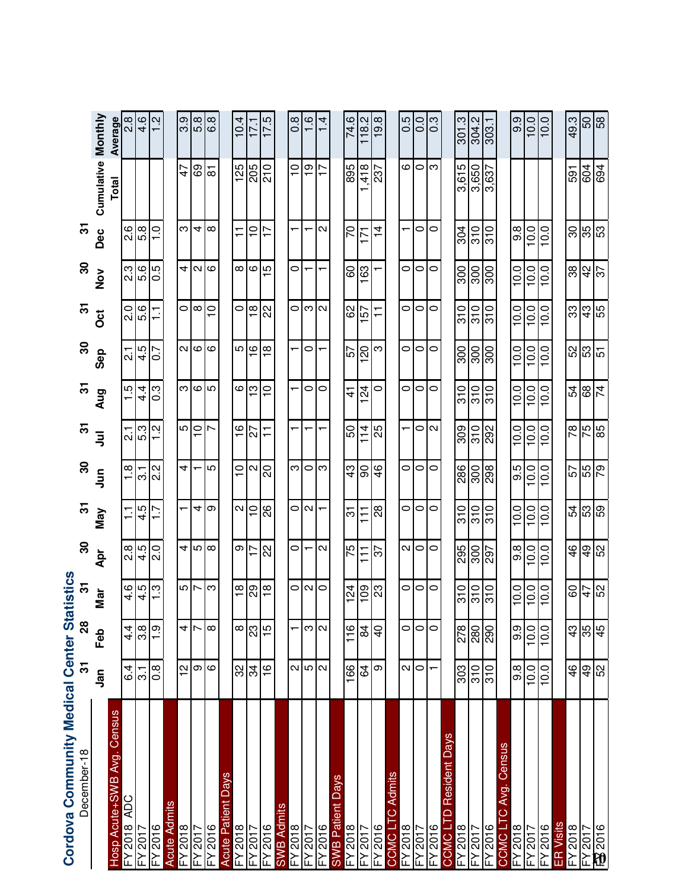| Cordova Community Medical Center Statistics |                      |                |                    |                |                   |                                              |                 |                  |                   |                        |                   |                  |                           |                       |
|---------------------------------------------|----------------------|----------------|--------------------|----------------|-------------------|----------------------------------------------|-----------------|------------------|-------------------|------------------------|-------------------|------------------|---------------------------|-----------------------|
| December-18                                 | 5                    | 28             | 5                  | 8              | $\mathbf{r}$      | $\boldsymbol{S}$                             | $\overline{5}$  | $\overline{5}$   | $\boldsymbol{S}$  | $\overline{5}$         | ႙                 | $\overline{5}$   |                           |                       |
|                                             | <u>ក្នុ</u>          | Feb            | Nar                | Apr            | Nay               | $\frac{5}{5}$                                | $\bar{z}$       | Aug              | Sep               | $\ddot{\rm o}$         | $\frac{8}{2}$     | Dec              | <b>Cumulative Monthly</b> |                       |
| Census<br>Hosp Acute+SWB Avg                |                      |                |                    |                |                   |                                              |                 |                  |                   |                        |                   |                  | Total                     | Average               |
| FY2018 ADC                                  | .6<br>ف              | $4\frac{4}{1}$ | 4.6                | 8.S            |                   | $\frac{8}{1}$                                | بر<br>21        | $\frac{1}{5}$    | بر<br>2           | o.<br>N                | ვ<br>2            | ى:<br>2          |                           | $\frac{8}{2}$         |
| FY 2017                                     | $\overline{3}$ .     | 3.8            | 4.5                | 4.5            | 4.5               | 3.1                                          | $rac{2}{1.2}$   | $4\overline{4}$  | 4.5               | 5.6                    | 5.6               | 5.8              |                           | 4.6                   |
| FX2016                                      | $0.\overline{8}$     | $\frac{6}{1}$  | <u>ო</u>           | $\frac{0}{2}$  |                   | $\mathbf{\Omega}$<br>$\overline{\mathsf{N}}$ | Ņ               | $\overline{0}$ . | $\overline{0}$    | Ξ                      | 0.5               | $\frac{0}{1}$    |                           | $\frac{2}{1}$         |
| <b>Acute Admits</b>                         |                      |                |                    |                |                   |                                              |                 |                  |                   |                        |                   |                  |                           |                       |
| FY 2018                                     | N                    | 41r            | ച∣പ                | 4              |                   | 4                                            | ്∣ി             |                  | $\sim$            | $\circ$                | 4                 | ო                | 47                        |                       |
| FY2017                                      | တ ယ                  |                |                    | 5              | $\overline{4}$    |                                              |                 | ო∣అ∣ග            | $\circ$           | $\infty$               | 2                 | $\overline{4}$   | 69                        | တ္ပစ္ပြ               |
| FY 2016                                     |                      | $\infty$       | က                  | $\infty$       | တ                 | 5                                            | N               |                  | $\circ$           | $\frac{1}{1}$          | $\infty$          | $\infty$         | $\overline{\infty}$       | 6.8                   |
| <b>Days</b><br><b>Acute Patient</b>         |                      |                |                    |                |                   |                                              |                 |                  |                   |                        |                   |                  |                           |                       |
| FY 2018                                     | SS                   | $\infty$       | $\frac{\infty}{1}$ | თ              | $\sim$            | $\overline{C}$                               | $\frac{6}{1}$   | $\circ$          | Ю                 | $\circ$                | $\infty$          | ᠮ                | 125                       | 10.4                  |
| FY 2017                                     | 34                   | 23             | 29                 | $\overline{1}$ | $\overline{0}$    | $\sim$                                       | 27              | $\infty$         | $\frac{1}{2}$     | $\frac{\infty}{\cdot}$ | $\circ$           | $\tilde{=}$      | 205                       | 17.1                  |
| FY 2016                                     | $\frac{6}{1}$        | $\frac{5}{1}$  | $\frac{8}{1}$      | 22             | 82                | 20                                           | $\overline{+}$  | $\overline{C}$   | $\frac{8}{1}$     | 22                     | $\frac{1}{2}$     | ŗ                | 210                       | 17.5                  |
| <b>SWB Admits</b>                           |                      |                |                    |                |                   |                                              |                 |                  |                   |                        |                   |                  |                           |                       |
| $\frac{210Z\lambda\pm}{810Z\lambda\pm}$     |                      |                |                    | 0              |                   | ణ∣౦                                          |                 |                  |                   | $\circ$                | 0                 |                  | $\frac{0}{1}$             | $\overline{0.8}$      |
|                                             | $\alpha$  ഗ $\alpha$ | ന∣ഢ            | ೦∣∾                | ┯              | ೦l∾               |                                              |                 | 0                | 0                 | S                      |                   |                  | $\frac{1}{2}$             | $\frac{6}{1}$         |
| FY 2016                                     |                      |                | $\circ$            | N              |                   | က                                            |                 | $\circ$          |                   | $\mathbf{\Omega}$      |                   | N                |                           | $\frac{4}{1}$         |
| <b>SWB Patient Days</b>                     |                      |                |                    |                |                   |                                              |                 |                  |                   |                        |                   |                  |                           |                       |
| FY 2018                                     | $\overline{166}$     | 116            | 124                | 75             | 5                 | $\frac{3}{4}$                                | 50              | $\vec{4}$        | 57                | 89                     | 8                 | 20               | 895                       | 74.6                  |
| FY 2017                                     | 84                   | $\frac{8}{4}$  | 109                | $\overline{1}$ | $\overline{11}$   | $\overline{6}$                               | 114             | 124              | $\overline{061}$  | 157                    | 163               | 171              | 418                       | 118.2                 |
| FY 2016                                     | ω                    | $\overline{4}$ | 23                 | 22             | $\frac{8}{2}$     | $\frac{4}{6}$                                | ξŚ              | $\circ$          | ω                 | $\overline{1}$         |                   | $\overline{4}$   | 237                       | 19.8                  |
| C Admits<br>CCMC <sub>L</sub>               |                      |                |                    |                |                   |                                              |                 |                  |                   |                        |                   |                  |                           |                       |
| FY 2018                                     |                      | $\circ$        | $\circ$            |                | $\circ$           | $\circ$                                      |                 | $\circ$          | $\circ$           | 0                      | $\circ$           |                  | $\mathbf \omega$          | 0.5                   |
| EY 2017<br>FY 2016                          | $\sim$ $\sim$        | 0 0            | $\circ$            | $\sim$ $\sim$  | $\circ$           | $\circ$                                      | ola             | $\circ$          | 0                 | 0                      | $\circ$           | 0                | ం∣ఌ                       | $\frac{0}{10}$        |
|                                             |                      |                | 0                  | 0              | 0                 | 0                                            |                 | $\circ$          | 0                 | 0                      | 0                 | 0                |                           | ြိ                    |
| Days<br>Resident<br>COMO <sub>L</sub>       |                      |                |                    |                |                   |                                              |                 |                  |                   |                        |                   |                  |                           |                       |
| FY 2018                                     | 303                  | 278            | 310                |                | $\frac{1}{3}$     | 286                                          | 309             | 310              | 300               | $\frac{1}{3}$          | 300               | 304              | 3,615                     | 301.3                 |
| FY 2017                                     | $\frac{10}{5}$       | 280            | $\frac{10}{310}$   | $rac{26}{25}$  | $\frac{310}{310}$ | $\frac{8}{208}$                              | $\frac{5}{292}$ | $rac{210}{310}$  | $\frac{100}{300}$ | $\frac{510}{310}$      | $\frac{300}{300}$ | 310              | $\frac{3,650}{3,637}$     | $\frac{304.2}{303.1}$ |
| FY 2016                                     |                      |                |                    |                |                   |                                              |                 |                  |                   |                        |                   | $\overline{310}$ |                           |                       |
| C Avg. Census<br>COMO <sub>L</sub>          |                      |                |                    |                |                   |                                              |                 |                  |                   |                        |                   |                  |                           |                       |
| FY 2018                                     | $9.\overline{8}$     | 9.9            | 10.0               | 9.8            | 10.0              | 9.5                                          | 10.0            | 10.0             | 10.0              | 10.0                   | 10.0              | 9.8              |                           | 9.9                   |
| FY 2017                                     | 10.0                 | 10.0           | 10.0               | 10.0           | 10.0              | 10.0                                         | 10.0            | 10.0             | 10.0              | 10.0                   | 10.0              | 10.0             |                           | 0.0                   |
| FY 2016                                     | 10.0                 | 10.0           | 10.0               | 10.0           | 10.0              | 10.0                                         | 10.0            | 10.0             | 10.0              | 10.0                   | 10.0              | 10.0             |                           | 10.0                  |
| ER Visits                                   |                      |                |                    |                |                   |                                              |                 |                  |                   |                        |                   |                  |                           |                       |
| $FY\overline{2018}$                         | $\frac{6}{4}$        | $\frac{3}{4}$  | 60                 | $\frac{4}{6}$  | 54                | 57                                           |                 | 54               | 52                | 33                     | 88                | ೫                | 591                       | 49.3                  |
| ≟7 2017                                     | 6 <sub>b</sub>       | $rac{9}{45}$   | 47                 | $\overline{6}$ | 53                | $\frac{6}{55}$                               | 예계적             | 89               | នា<br>ឆ           | $rac{43}{55}$          | 42                | န္ကုန္ယ          | 604                       | $\frac{8}{50}$        |
| 百2016                                       | SS <sub>N</sub>      |                | 52                 | 52             | င္ပြာ             |                                              |                 | $\overline{z}$   |                   |                        | $\frac{2}{3}$     |                  | 694                       |                       |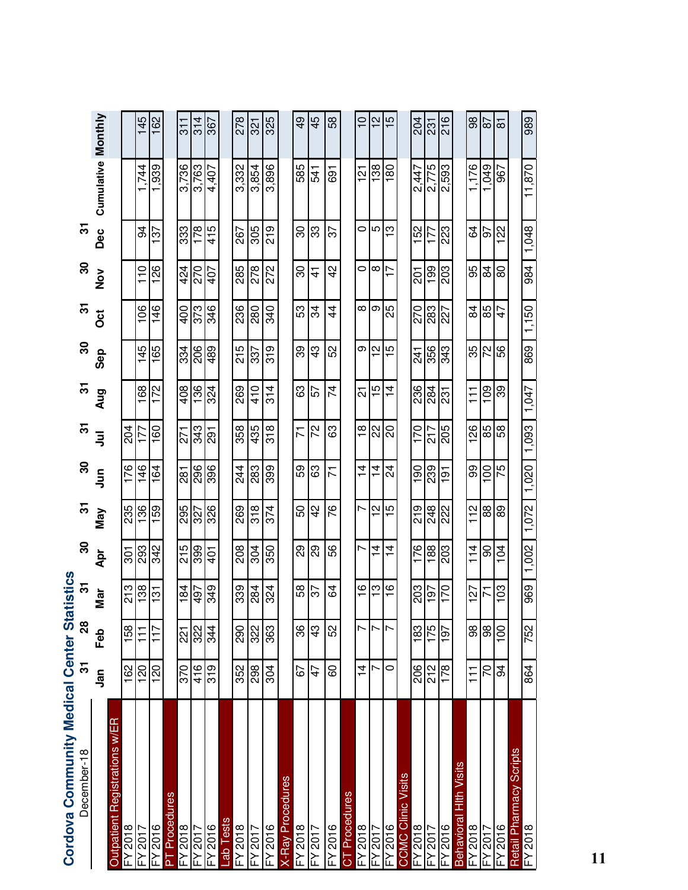| Cordova Community Medical Center Statistics |                  |                  |                |                |                   |                |            |                |                |                |                 |                           |                        |                     |
|---------------------------------------------|------------------|------------------|----------------|----------------|-------------------|----------------|------------|----------------|----------------|----------------|-----------------|---------------------------|------------------------|---------------------|
| December-18                                 | స్               | 28               | ᢛ              | ႙              | ᢛ                 | 30             | ᢛ          | 5              | $30$           | 5              | ႙               | $\overline{\mathfrak{S}}$ |                        |                     |
|                                             | <u>ក្នុ</u>      | Feb              | Mar            | Apr            | Nay               | $\bar{5}$      | $\bar{5}$  | Aug            | Sep            | ö              | $\frac{5}{2}$   |                           | Dec Cumulative Monthly |                     |
| Outpatient Registrations w/ER               |                  |                  |                |                |                   |                |            |                |                |                |                 |                           |                        |                     |
| $=$ Y 2018                                  | 162              | 158              | 213            | 301            | 235               | 176            | 204        |                |                |                |                 |                           |                        |                     |
| FY 2017                                     | 120              | $\overline{1}$   | 138            | 293            | 136               | 146            | 177        | 168            | 145            | 106            | $\frac{10}{11}$ | \$                        | .744                   | 145                 |
| $-4.5016$                                   | 120              | 117              | $\frac{5}{1}$  | 342            | 159               | 164            | 160        | 172            | 165            | 146            | 126             | 137                       | 1,939                  | 162                 |
| <b>PT</b> Procedures                        |                  |                  |                |                |                   |                |            |                |                |                |                 |                           |                        |                     |
| FY 2018                                     | 370              | $\overline{221}$ | 184            | 215            | 295               | 281            | 271        | 408            | 334            | 400            | 424             | 333                       | 3,736                  | $\frac{1}{3}$       |
| Y2017                                       | 416              | 322              | 497            | 399            | 327               | 296            | 343        | 136            | 206            | 373            | 270             | 178                       | 3,763                  | 314                 |
| $-42016$                                    | $\overline{319}$ | 344              | 849            | $\frac{1}{2}$  | 326               | 396            | <b>167</b> | 324            | 489            | 346            | 407             | 415                       | 4,407                  | 367                 |
| ab Tests                                    |                  |                  |                |                |                   |                |            |                |                |                |                 |                           |                        |                     |
| $=$ Y 2018                                  | 352              | 290              | 339            | 208            | 269               | 244            | 358        | 269            | 215            | 236            | 285             | 267                       | 3,332                  | 278                 |
| Y2017                                       | 298              | 322              | 284            | 304            | 318               | 283            | 435        | 410            | 337            | 280            | 278             | 305                       | 3,854                  | 321                 |
| FY 2016                                     | 304              | 363              | 324            | 350            | 374               | 399            | 318        | 314            | 319            | 340            | 272             | 219                       | 3,896                  | 325                 |
| <b>K-Ray Procedures</b>                     |                  |                  |                |                |                   |                |            |                |                |                |                 |                           |                        |                     |
| FY 2018                                     | 59               | 86               | 58             | 8g             | 50                | 59             | 71         | යි             | 39             | 53             | 80              | 80                        | 585                    | $\frac{9}{4}$       |
| FY 2017                                     | 47               | $\frac{3}{4}$    | 57             | 89             | $\frac{2}{3}$     | යි             | 22         | 57             | 43             | ಸ              | <u>न</u>        | 83                        | 541                    | 45                  |
| FY 2016                                     | 60               | 52               | 34             | 99             | 97                | 71             | යි         | 74             | 52             | $\overline{4}$ | $\frac{2}{3}$   | 57                        | 691                    | 58                  |
| CT Procedures                               |                  |                  |                |                |                   |                |            |                |                |                |                 |                           |                        |                     |
| FY 2018                                     | $\frac{4}{4}$    | Ľ                | $\frac{6}{1}$  | Ľ              | Ľ                 | $\overline{4}$ | ₽          | <u>र्ज</u>     | თ              | ∞              | 0               | $\circ$                   | $\frac{5}{2}$          | $\frac{1}{1}$       |
| FY 2017                                     |                  |                  | ო              | $\frac{1}{4}$  | $\mathbf{\Omega}$ | $\frac{4}{4}$  | ଧ $ 8 $    | 15             | N<br>$\mathbf$ | თ              | $^\infty$       | l LO                      | 138                    | 51                  |
| $-42016$                                    | $\circ$          | r                | ဖ              | $\overline{4}$ | Ю                 | $\overline{2}$ |            | $\overline{4}$ | Ю              | 25             | Ţ               | S                         | 180                    | $\frac{15}{2}$      |
| <b>COMC Clinic Visits</b>                   |                  |                  |                |                |                   |                |            |                |                |                |                 |                           |                        |                     |
| $\overline{FY}$ 2018                        | 206              | 183              | 203            | 176            | 219               | $\frac{0}{1}$  | 170        | 236            | 241            | 270            | $\overline{5}$  | 152                       | 2,447                  | 204                 |
| 7102 Y                                      | 212              | 175              | 197            | 188            | 8 <sub>7</sub>    | 239            | 217        | 284            | 356            | 283            | $\frac{8}{2}$   |                           | 2,775                  | 231                 |
| $-4.2016$                                   | 178              | 50               | 170            | 203            | 222               | $\frac{5}{19}$ | 205        | 53             | 343            | 227            | 203             | 223                       | <b>S6S'Z</b>           | 216                 |
| Hith Visits<br><b>Behavioral</b>            |                  |                  |                |                |                   |                |            |                |                |                |                 |                           |                        |                     |
| $=$ Y 2018                                  | $\overline{1}$   | 88               | 127            | 114            | 112               | 99             | 126        | 111            | 35             | 84             | 95              | 3                         | 1,176                  | 86                  |
| FY 2017                                     | $\overline{C}$   | 86               | $\overline{7}$ | $\overline{6}$ | $\frac{88}{2}$    | 001            | အခြ        | 109            | 72             | 85             | 84              | 16                        | 670                    | 78                  |
| FY 2016                                     | 34               | 8                | 103            | 104            | 68                | 57             |            | 6£             | 56             | 47             | 8               | $\overline{\mathcal{Z}}$  | 967                    | $\overline{\infty}$ |
| Retail Pharmacy Scripts                     |                  |                  |                |                |                   |                |            |                |                |                |                 |                           |                        |                     |
| $FY\overline{2}018$                         | 864              | 752              | 969            | 1,002          | 1.072             | 1,020          | 1,093      | 1,047          | 869            | 1,150          | 984             | 1,048                     | 11,870                 | 989                 |

**11**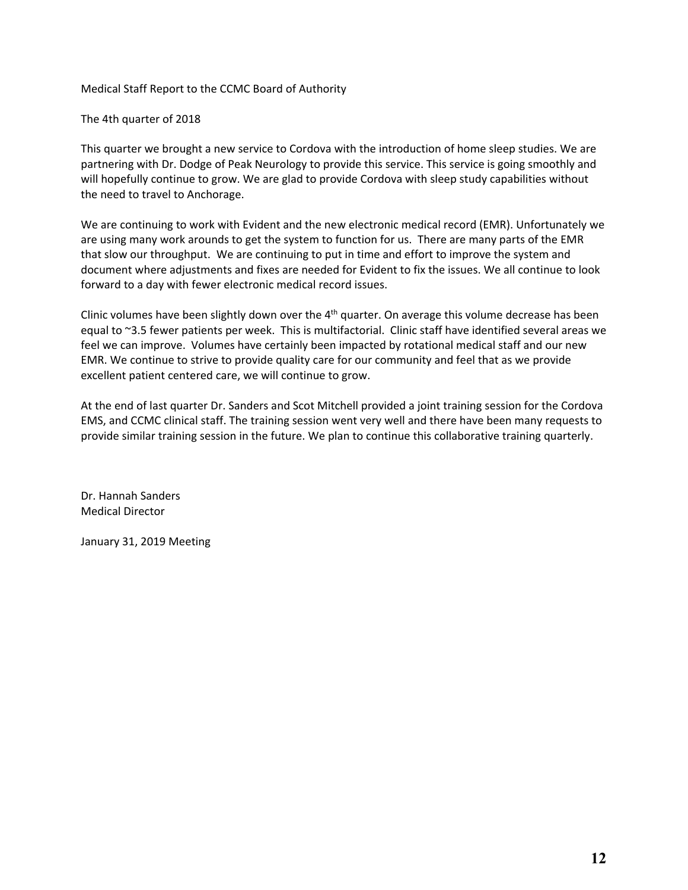Medical Staff Report to the CCMC Board of Authority

The 4th quarter of 2018

This quarter we brought a new service to Cordova with the introduction of home sleep studies. We are partnering with Dr. Dodge of Peak Neurology to provide this service. This service is going smoothly and will hopefully continue to grow. We are glad to provide Cordova with sleep study capabilities without the need to travel to Anchorage.

We are continuing to work with Evident and the new electronic medical record (EMR). Unfortunately we are using many work arounds to get the system to function for us. There are many parts of the EMR that slow our throughput. We are continuing to put in time and effort to improve the system and document where adjustments and fixes are needed for Evident to fix the issues. We all continue to look forward to a day with fewer electronic medical record issues.

Clinic volumes have been slightly down over the  $4<sup>th</sup>$  quarter. On average this volume decrease has been equal to ~3.5 fewer patients per week. This is multifactorial. Clinic staff have identified several areas we feel we can improve. Volumes have certainly been impacted by rotational medical staff and our new EMR. We continue to strive to provide quality care for our community and feel that as we provide excellent patient centered care, we will continue to grow.

At the end of last quarter Dr. Sanders and Scot Mitchell provided a joint training session for the Cordova EMS, and CCMC clinical staff. The training session went very well and there have been many requests to provide similar training session in the future. We plan to continue this collaborative training quarterly.

Dr. Hannah Sanders Medical Director

January 31, 2019 Meeting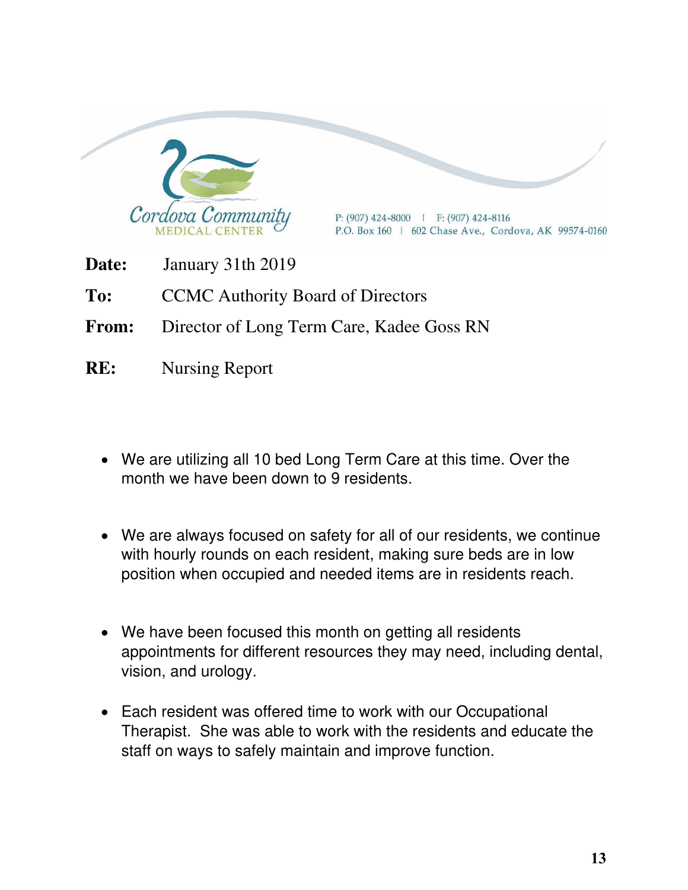

- **Date:** January 31th 2019
- To: CCMC Authority Board of Directors
- **From:** Director of Long Term Care, Kadee Goss RN
- **RE:** Nursing Report
	- We are utilizing all 10 bed Long Term Care at this time. Over the month we have been down to 9 residents.
	- We are always focused on safety for all of our residents, we continue with hourly rounds on each resident, making sure beds are in low position when occupied and needed items are in residents reach.
	- We have been focused this month on getting all residents appointments for different resources they may need, including dental, vision, and urology.
	- Each resident was offered time to work with our Occupational Therapist. She was able to work with the residents and educate the staff on ways to safely maintain and improve function.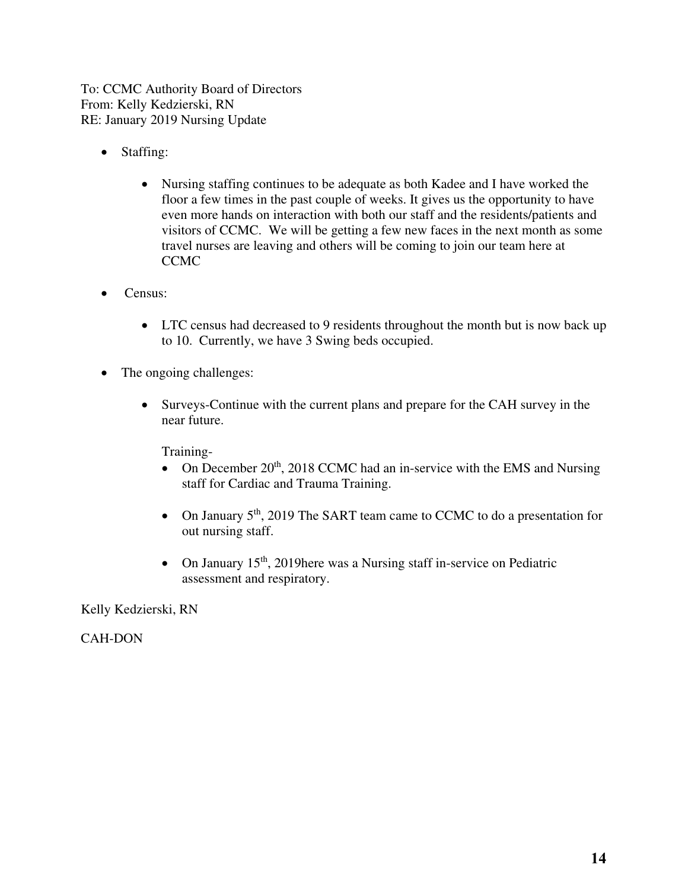To: CCMC Authority Board of Directors From: Kelly Kedzierski, RN RE: January 2019 Nursing Update

- Staffing:
	- Nursing staffing continues to be adequate as both Kadee and I have worked the floor a few times in the past couple of weeks. It gives us the opportunity to have even more hands on interaction with both our staff and the residents/patients and visitors of CCMC. We will be getting a few new faces in the next month as some travel nurses are leaving and others will be coming to join our team here at CCMC
- Census:
	- LTC census had decreased to 9 residents throughout the month but is now back up to 10. Currently, we have 3 Swing beds occupied.
- The ongoing challenges:
	- Surveys-Continue with the current plans and prepare for the CAH survey in the near future.

Training-

- On December  $20<sup>th</sup>$ , 2018 CCMC had an in-service with the EMS and Nursing staff for Cardiac and Trauma Training.
- On January 5<sup>th</sup>, 2019 The SART team came to CCMC to do a presentation for out nursing staff.
- On January  $15<sup>th</sup>$ , 2019here was a Nursing staff in-service on Pediatric assessment and respiratory.

Kelly Kedzierski, RN

CAH-DON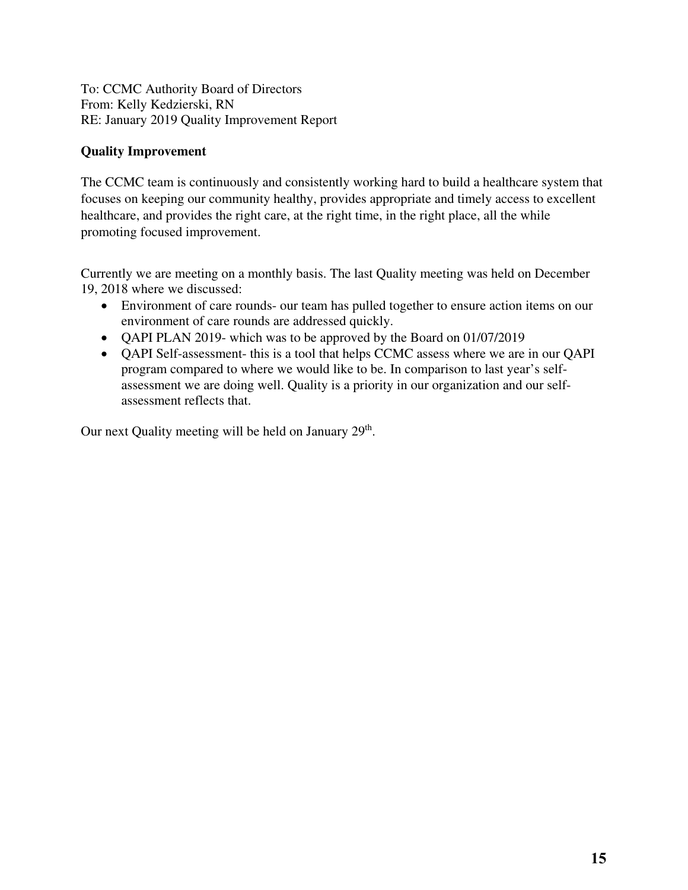To: CCMC Authority Board of Directors From: Kelly Kedzierski, RN RE: January 2019 Quality Improvement Report

#### **Quality Improvement**

The CCMC team is continuously and consistently working hard to build a healthcare system that focuses on keeping our community healthy, provides appropriate and timely access to excellent healthcare, and provides the right care, at the right time, in the right place, all the while promoting focused improvement.

Currently we are meeting on a monthly basis. The last Quality meeting was held on December 19, 2018 where we discussed:

- Environment of care rounds- our team has pulled together to ensure action items on our environment of care rounds are addressed quickly.
- QAPI PLAN 2019- which was to be approved by the Board on 01/07/2019
- QAPI Self-assessment- this is a tool that helps CCMC assess where we are in our QAPI program compared to where we would like to be. In comparison to last year's selfassessment we are doing well. Quality is a priority in our organization and our selfassessment reflects that.

Our next Quality meeting will be held on January 29<sup>th</sup>.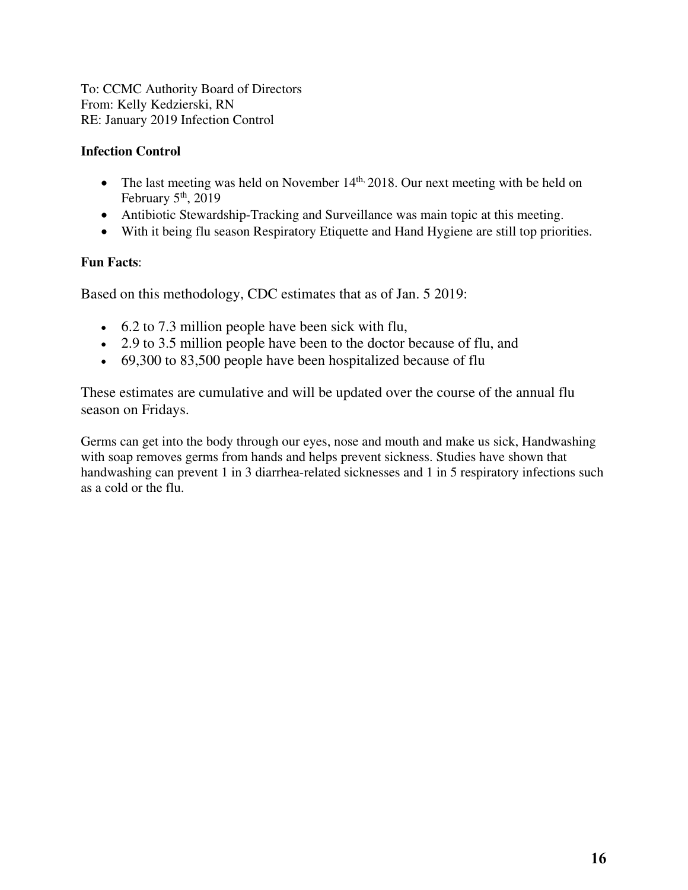To: CCMC Authority Board of Directors From: Kelly Kedzierski, RN RE: January 2019 Infection Control

#### **Infection Control**

- The last meeting was held on November  $14<sup>th</sup>$ , 2018. Our next meeting with be held on February  $5<sup>th</sup>$ , 2019
- Antibiotic Stewardship-Tracking and Surveillance was main topic at this meeting.
- With it being flu season Respiratory Etiquette and Hand Hygiene are still top priorities.

#### **Fun Facts**:

Based on this methodology, CDC estimates that as of Jan. 5 2019:

- 6.2 to 7.3 million people have been sick with flu,
- 2.9 to 3.5 million people have been to the doctor because of flu, and
- 69,300 to 83,500 people have been hospitalized because of flu

These estimates are cumulative and will be updated over the course of the annual flu season on Fridays.

Germs can get into the body through our eyes, nose and mouth and make us sick, Handwashing with soap removes germs from hands and helps prevent sickness. Studies have shown that handwashing can prevent 1 in 3 diarrhea-related sicknesses and 1 in 5 respiratory infections such as a cold or the flu.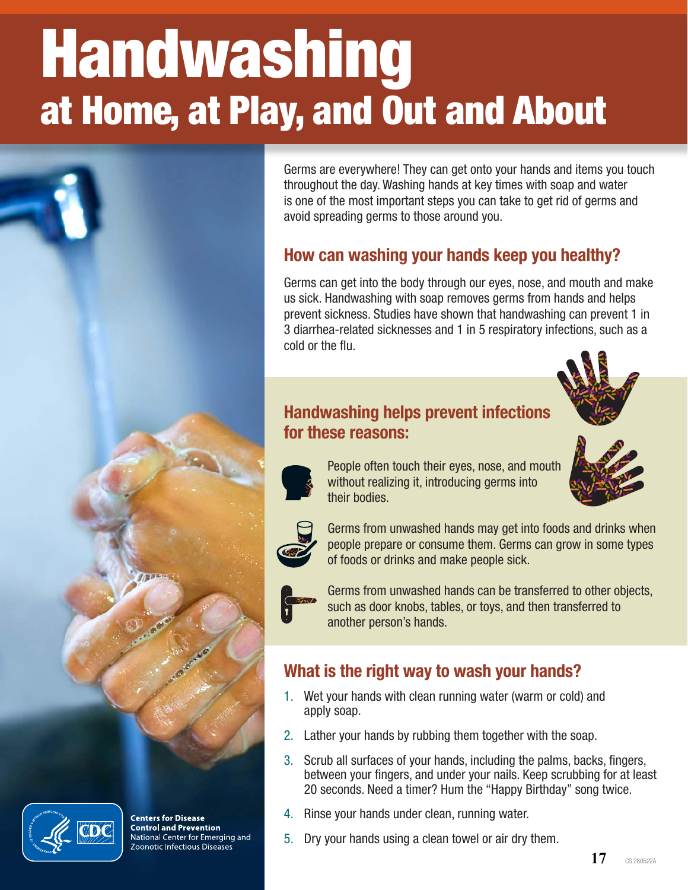# Handwashing at Home, at Play, and Out and About





**Centers for Disease Control and Prevention** National Center for Emerging and Zoonotic Infectious Diseases

Germs are everywhere! They can get onto your hands and items you touch throughout the day. Washing hands at key times with soap and water is one of the most important steps you can take to get rid of germs and avoid spreading germs to those around you.

# How can washing your hands keep you healthy?

Germs can get into the body through our eyes, nose, and mouth and make us sick. Handwashing with soap removes germs from hands and helps prevent sickness. Studies have shown that handwashing can prevent 1 in 3 diarrhea-related sicknesses and 1 in 5 respiratory infections, such as a cold or the flu.



# Handwashing helps prevent infections for these reasons:



People often touch their eyes, nose, and mouth without realizing it, introducing germs into their bodies.



Germs from unwashed hands may get into foods and drinks when people prepare or consume them. Germs can grow in some types of foods or drinks and make people sick.

Germs from unwashed hands can be transferred to other objects, such as door knobs, tables, or toys, and then transferred to another person's hands.

# What is the right way to wash your hands?

- 1. Wet your hands with clean running water (warm or cold) and apply soap.
- 2. Lather your hands by rubbing them together with the soap.
- 3. Scrub all surfaces of your hands, including the palms, backs, fingers, between your fingers, and under your nails. Keep scrubbing for at least 20 seconds. Need a timer? Hum the "Happy Birthday" song twice.
- 4. Rinse your hands under clean, running water.
- 5. Dry your hands using a clean towel or air dry them.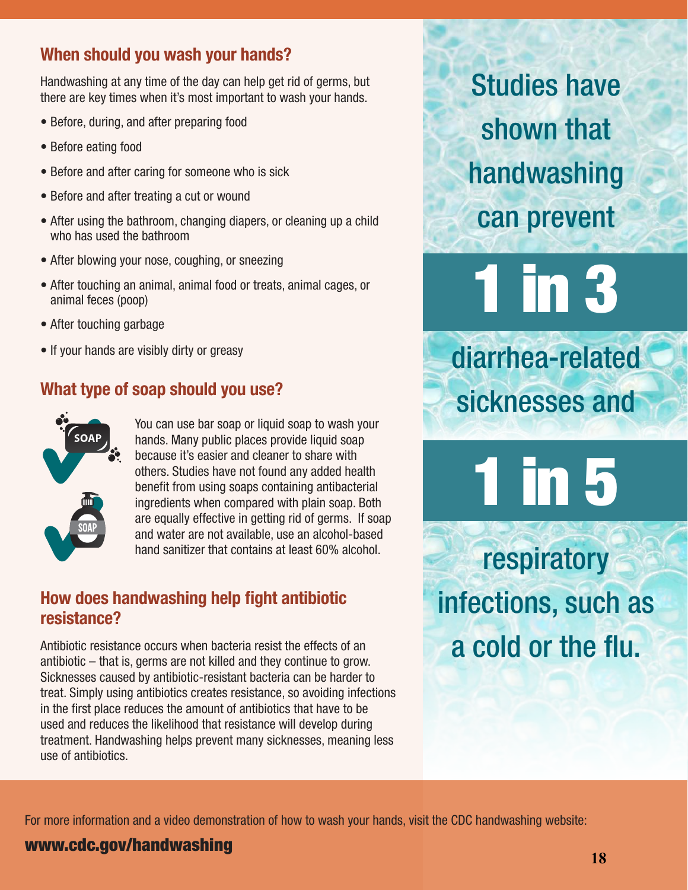# When should you wash your hands?

Handwashing at any time of the day can help get rid of germs, but there are key times when it's most important to wash your hands.

- Before, during, and after preparing food
- Before eating food
- Before and after caring for someone who is sick
- Before and after treating a cut or wound
- After using the bathroom, changing diapers, or cleaning up a child who has used the bathroom
- After blowing your nose, coughing, or sneezing
- After touching an animal, animal food or treats, animal cages, or animal feces (poop)
- After touching garbage
- If your hands are visibly dirty or greasy

# What type of soap should you use?



You can use bar soap or liquid soap to wash your hands. Many public places provide liquid soap because it's easier and cleaner to share with others. Studies have not found any added health benefit from using soaps containing antibacterial ingredients when compared with plain soap. Both are equally effective in getting rid of germs. If soap and water are not available, use an alcohol-based hand sanitizer that contains at least 60% alcohol.

# How does handwashing help fight antibiotic resistance?

Antibiotic resistance occurs when bacteria resist the effects of an antibiotic – that is, germs are not killed and they continue to grow. Sicknesses caused by antibiotic-resistant bacteria can be harder to treat. Simply using antibiotics creates resistance, so avoiding infections in the first place reduces the amount of antibiotics that have to be used and reduces the likelihood that resistance will develop during treatment. Handwashing helps prevent many sicknesses, meaning less use of antibiotics.

Studies have shown that handwashing can prevent

1 in 3 diarrhea-related

sicknesses and

1 in 5

respiratory infections, such as a cold or the flu.

For more information and a video demonstration of how to wash your hands, visit the CDC handwashing website:

# www.cdc.gov/handwashing